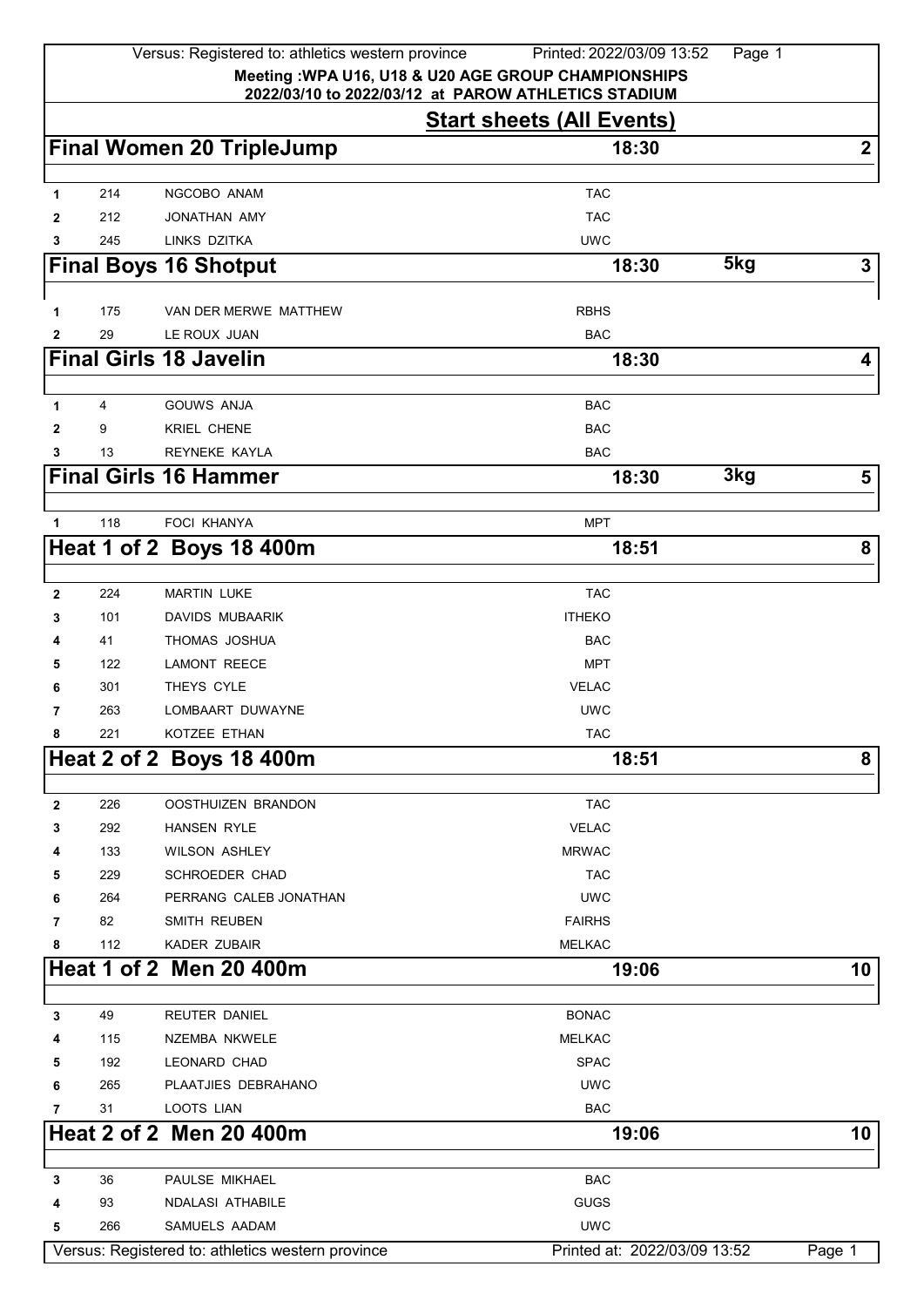Versus: Registered to: athletics western province Printed: 2022/03/09 13:52 Page 1 **Meeting :WPA U16, U18 & U20 AGE GROUP CHAMPIONSHIPS**

**2022/03/10 to 2022/03/12 at PAROW ATHLETICS STADIUM**

|              |     | <b>Start sheets (All Events)</b>                  |                              |                  |
|--------------|-----|---------------------------------------------------|------------------------------|------------------|
|              |     | <b>Final Women 20 TripleJump</b>                  | 18:30                        | $\boldsymbol{2}$ |
|              |     |                                                   |                              |                  |
| 1            | 214 | NGCOBO ANAM                                       | <b>TAC</b>                   |                  |
| $\mathbf{2}$ | 212 | <b>JONATHAN AMY</b>                               | <b>TAC</b>                   |                  |
| 3            | 245 | LINKS DZITKA                                      | <b>UWC</b>                   |                  |
|              |     | <b>Final Boys 16 Shotput</b>                      | 5kg<br>18:30                 | 3                |
| 1            | 175 | VAN DER MERWE MATTHEW                             | <b>RBHS</b>                  |                  |
| 2            | 29  | LE ROUX JUAN                                      | <b>BAC</b>                   |                  |
|              |     | <b>Final Girls 18 Javelin</b>                     | 18:30                        | 4                |
|              |     |                                                   |                              |                  |
| 1            | 4   | <b>GOUWS ANJA</b>                                 | <b>BAC</b>                   |                  |
| 2            | 9   | <b>KRIEL CHENE</b>                                | <b>BAC</b>                   |                  |
| 3            | 13  | REYNEKE KAYLA                                     | <b>BAC</b>                   |                  |
|              |     | <b>Final Girls 16 Hammer</b>                      | 3kg<br>18:30                 | 5                |
| 1            | 118 | <b>FOCI KHANYA</b>                                | <b>MPT</b>                   |                  |
|              |     | Heat 1 of 2 Boys 18 400m                          | 18:51                        | 8                |
|              |     |                                                   |                              |                  |
| $\mathbf{2}$ | 224 | <b>MARTIN LUKE</b>                                | <b>TAC</b>                   |                  |
| 3            | 101 | <b>DAVIDS MUBAARIK</b>                            | <b>ITHEKO</b>                |                  |
| 4            | 41  | THOMAS JOSHUA                                     | <b>BAC</b>                   |                  |
| 5            | 122 | <b>LAMONT REECE</b>                               | <b>MPT</b>                   |                  |
| 6            | 301 | THEYS CYLE                                        | <b>VELAC</b>                 |                  |
| 7            | 263 | LOMBAART DUWAYNE                                  | <b>UWC</b>                   |                  |
| 8            | 221 | KOTZEE ETHAN                                      | <b>TAC</b>                   |                  |
|              |     | Heat 2 of 2 Boys 18 400m                          | 18:51                        | 8                |
| 2            | 226 | OOSTHUIZEN BRANDON                                | <b>TAC</b>                   |                  |
| 3            | 292 | <b>HANSEN RYLE</b>                                | <b>VELAC</b>                 |                  |
| 4            | 133 | <b>WILSON ASHLEY</b>                              | <b>MRWAC</b>                 |                  |
| 5            | 229 | <b>SCHROEDER CHAD</b>                             | <b>TAC</b>                   |                  |
| 6            | 264 | PERRANG CALEB JONATHAN                            | <b>UWC</b>                   |                  |
| 7            | 82  | SMITH REUBEN                                      | <b>FAIRHS</b>                |                  |
| 8            | 112 | <b>KADER ZUBAIR</b>                               | <b>MELKAC</b>                |                  |
|              |     | Heat 1 of 2 Men 20 400m                           | 19:06                        | 10               |
| 3            | 49  | REUTER DANIEL                                     | <b>BONAC</b>                 |                  |
| 4            | 115 | NZEMBA NKWELE                                     | <b>MELKAC</b>                |                  |
| 5            | 192 | <b>LEONARD CHAD</b>                               | <b>SPAC</b>                  |                  |
| 6            | 265 | PLAATJIES DEBRAHANO                               | <b>UWC</b>                   |                  |
| 7            | 31  | LOOTS LIAN                                        | <b>BAC</b>                   |                  |
|              |     | Heat 2 of 2 Men 20 400m                           |                              | 10               |
|              |     |                                                   | 19:06                        |                  |
| 3            | 36  | PAULSE MIKHAEL                                    | <b>BAC</b>                   |                  |
| 4            | 93  | <b>NDALASI ATHABILE</b>                           | <b>GUGS</b>                  |                  |
| 5            | 266 | SAMUELS AADAM                                     | <b>UWC</b>                   |                  |
|              |     | Versus: Registered to: athletics western province | Printed at: 2022/03/09 13:52 | Page 1           |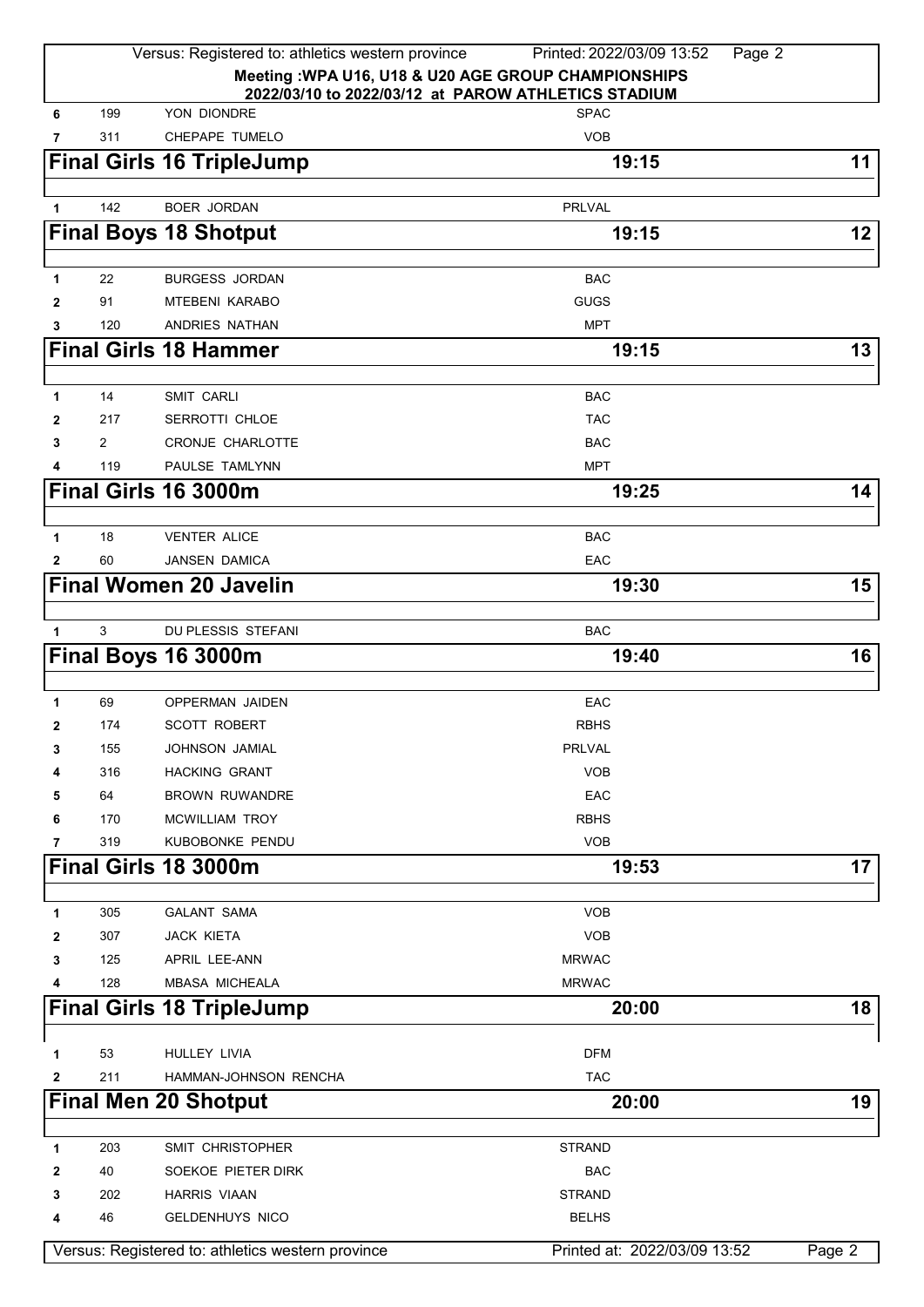|              |                | Versus: Registered to: athletics western province | Printed: 2022/03/09 13:52<br>Page 2                                                                        |        |
|--------------|----------------|---------------------------------------------------|------------------------------------------------------------------------------------------------------------|--------|
|              |                |                                                   | Meeting: WPA U16, U18 & U20 AGE GROUP CHAMPIONSHIPS<br>2022/03/10 to 2022/03/12 at PAROW ATHLETICS STADIUM |        |
| 6            | 199            | YON DIONDRE                                       | <b>SPAC</b>                                                                                                |        |
| 7            | 311            | CHEPAPE TUMELO                                    | <b>VOB</b>                                                                                                 |        |
|              |                | <b>Final Girls 16 TripleJump</b>                  | 19:15                                                                                                      | 11     |
| $\mathbf{1}$ | 142            | <b>BOER JORDAN</b>                                | <b>PRLVAL</b>                                                                                              |        |
|              |                | <b>Final Boys 18 Shotput</b>                      | 19:15                                                                                                      | 12     |
| 1            | 22             | <b>BURGESS JORDAN</b>                             | <b>BAC</b>                                                                                                 |        |
| 2            | 91             | <b>MTEBENI KARABO</b>                             | <b>GUGS</b>                                                                                                |        |
| 3            | 120            | ANDRIES NATHAN                                    | <b>MPT</b>                                                                                                 |        |
|              |                | <b>Final Girls 18 Hammer</b>                      | 19:15                                                                                                      | 13     |
|              |                |                                                   |                                                                                                            |        |
| 1            | 14             | <b>SMIT CARLI</b>                                 | <b>BAC</b>                                                                                                 |        |
| 2            | 217            | <b>SERROTTI CHLOE</b>                             | <b>TAC</b>                                                                                                 |        |
| 3            | $\overline{2}$ | <b>CRONJE CHARLOTTE</b>                           | <b>BAC</b>                                                                                                 |        |
| 4            | 119            | PAULSE TAMLYNN                                    | <b>MPT</b>                                                                                                 |        |
|              |                | Final Girls 16 3000m                              | 19:25                                                                                                      | 14     |
| 1            | 18             | <b>VENTER ALICE</b>                               | <b>BAC</b>                                                                                                 |        |
| 2            | 60             | <b>JANSEN DAMICA</b>                              | EAC                                                                                                        |        |
|              |                | <b>Final Women 20 Javelin</b>                     | 19:30                                                                                                      | 15     |
|              |                |                                                   |                                                                                                            |        |
|              | 3              | DU PLESSIS STEFANI                                | <b>BAC</b>                                                                                                 |        |
|              |                | Final Boys 16 3000m                               | 19:40                                                                                                      | 16     |
|              |                |                                                   |                                                                                                            |        |
| 1            | 69             | <b>OPPERMAN JAIDEN</b>                            | EAC                                                                                                        |        |
| 2            | 174            | <b>SCOTT ROBERT</b>                               | <b>RBHS</b>                                                                                                |        |
| 3            | 155            | JOHNSON JAMIAL                                    | PRLVAL                                                                                                     |        |
|              | 316            | <b>HACKING GRANT</b>                              | <b>VOB</b>                                                                                                 |        |
| 5            | 64             | <b>BROWN RUWANDRE</b>                             | EAC                                                                                                        |        |
| 6            | 170            | <b>MCWILLIAM TROY</b>                             | <b>RBHS</b>                                                                                                |        |
| 7            | 319            | KUBOBONKE PENDU                                   | <b>VOB</b>                                                                                                 |        |
|              |                | Final Girls 18 3000m                              | 19:53                                                                                                      | 17     |
| 1            | 305            | <b>GALANT SAMA</b>                                | <b>VOB</b>                                                                                                 |        |
| 2            | 307            | <b>JACK KIETA</b>                                 | <b>VOB</b>                                                                                                 |        |
| 3            | 125            | APRIL LEE-ANN                                     | <b>MRWAC</b>                                                                                               |        |
| 4            | 128            | <b>MBASA MICHEALA</b>                             | <b>MRWAC</b>                                                                                               |        |
|              |                | <b>Final Girls 18 TripleJump</b>                  | 20:00                                                                                                      | 18     |
|              |                |                                                   |                                                                                                            |        |
| 1            | 53             | <b>HULLEY LIVIA</b>                               | <b>DFM</b>                                                                                                 |        |
| 2            | 211            | HAMMAN-JOHNSON RENCHA                             | <b>TAC</b>                                                                                                 |        |
|              |                | <b>Final Men 20 Shotput</b>                       | 20:00                                                                                                      | 19     |
| 1            | 203            | SMIT CHRISTOPHER                                  | <b>STRAND</b>                                                                                              |        |
| 2            | 40             | SOEKOE PIETER DIRK                                | <b>BAC</b>                                                                                                 |        |
| 3            | 202            | <b>HARRIS VIAAN</b>                               | <b>STRAND</b>                                                                                              |        |
| 4            | 46             | <b>GELDENHUYS NICO</b>                            | <b>BELHS</b>                                                                                               |        |
|              |                | Versus: Registered to: athletics western province | Printed at: 2022/03/09 13:52                                                                               | Page 2 |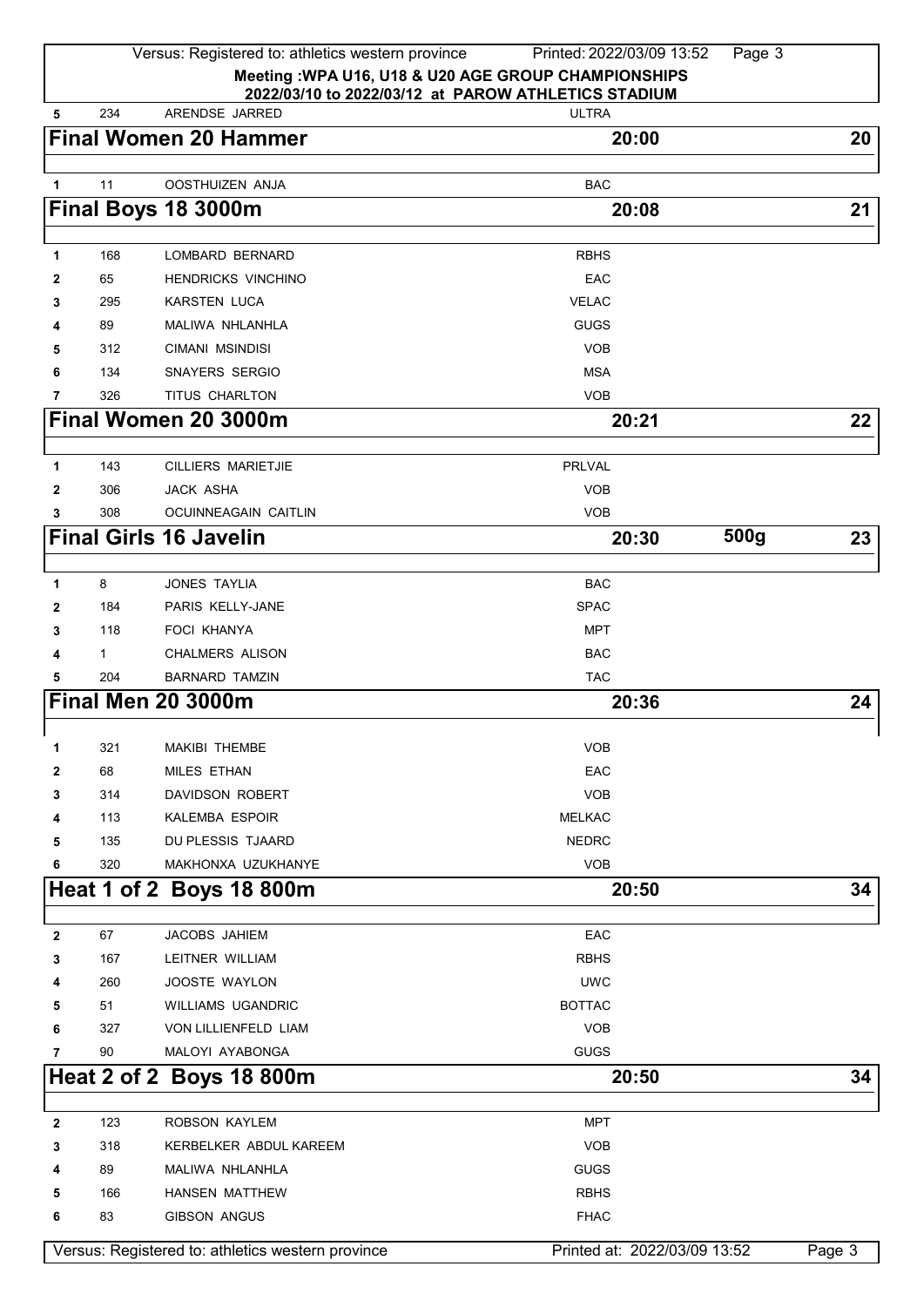|                |              | Versus: Registered to: athletics western province<br>Meeting : WPA U16, U18 & U20 AGE GROUP CHAMPIONSHIPS<br>2022/03/10 to 2022/03/12 at PAROW ATHLETICS STADIUM | Printed: 2022/03/09 13:52    | Page 3 |        |
|----------------|--------------|------------------------------------------------------------------------------------------------------------------------------------------------------------------|------------------------------|--------|--------|
| 5              | 234          | ARENDSE JARRED                                                                                                                                                   | <b>ULTRA</b>                 |        |        |
|                |              | <b>Final Women 20 Hammer</b>                                                                                                                                     | 20:00                        |        | 20     |
|                |              |                                                                                                                                                                  |                              |        |        |
| $\mathbf{1}$   | 11           | <b>OOSTHUIZEN ANJA</b>                                                                                                                                           | <b>BAC</b>                   |        |        |
|                |              | Final Boys 18 3000m                                                                                                                                              | 20:08                        |        | 21     |
|                |              |                                                                                                                                                                  |                              |        |        |
| 1              | 168          | LOMBARD BERNARD                                                                                                                                                  | <b>RBHS</b>                  |        |        |
| 2              | 65           | <b>HENDRICKS VINCHINO</b>                                                                                                                                        | EAC                          |        |        |
| 3              | 295          | <b>KARSTEN LUCA</b>                                                                                                                                              | <b>VELAC</b>                 |        |        |
| 4              | 89           | MALIWA NHLANHLA                                                                                                                                                  | <b>GUGS</b>                  |        |        |
| 5              | 312          | CIMANI MSINDISI                                                                                                                                                  | <b>VOB</b>                   |        |        |
| 6              | 134          | <b>SNAYERS SERGIO</b>                                                                                                                                            | <b>MSA</b>                   |        |        |
| $\overline{7}$ | 326          | TITUS CHARLTON                                                                                                                                                   | <b>VOB</b>                   |        |        |
|                |              | Final Women 20 3000m                                                                                                                                             | 20:21                        |        | 22     |
|                |              |                                                                                                                                                                  |                              |        |        |
| 1              | 143          | <b>CILLIERS MARIETJIE</b>                                                                                                                                        | <b>PRLVAL</b>                |        |        |
| 2              | 306          | <b>JACK ASHA</b>                                                                                                                                                 | <b>VOB</b>                   |        |        |
| 3              | 308          | <b>OCUINNEAGAIN CAITLIN</b>                                                                                                                                      | <b>VOB</b>                   |        |        |
|                |              | <b>Final Girls 16 Javelin</b>                                                                                                                                    | 20:30                        | 500g   | 23     |
|                |              |                                                                                                                                                                  |                              |        |        |
| 1              | 8            | <b>JONES TAYLIA</b>                                                                                                                                              | <b>BAC</b>                   |        |        |
| 2              | 184          | PARIS KELLY-JANE                                                                                                                                                 | <b>SPAC</b>                  |        |        |
| 3              | 118          | <b>FOCI KHANYA</b>                                                                                                                                               | <b>MPT</b>                   |        |        |
| 4              | $\mathbf{1}$ | <b>CHALMERS ALISON</b>                                                                                                                                           | <b>BAC</b>                   |        |        |
| 5              | 204          | <b>BARNARD TAMZIN</b>                                                                                                                                            | <b>TAC</b>                   |        |        |
|                |              | <b>Final Men 20 3000m</b>                                                                                                                                        | 20:36                        |        | 24     |
| 1              | 321          | <b>MAKIBI THEMBE</b>                                                                                                                                             | <b>VOB</b>                   |        |        |
| 2              | 68           | MILES ETHAN                                                                                                                                                      | EAC                          |        |        |
| 3              | 314          | DAVIDSON ROBERT                                                                                                                                                  | <b>VOB</b>                   |        |        |
| 4              | 113          | <b>KALEMBA ESPOIR</b>                                                                                                                                            | <b>MELKAC</b>                |        |        |
| 5              | 135          | DU PLESSIS TJAARD                                                                                                                                                | <b>NEDRC</b>                 |        |        |
| 6              | 320          | MAKHONXA UZUKHANYE                                                                                                                                               | <b>VOB</b>                   |        |        |
|                |              | Heat 1 of 2 Boys 18 800m                                                                                                                                         | 20:50                        |        | 34     |
|                |              |                                                                                                                                                                  |                              |        |        |
| $\mathbf{2}$   | 67           | JACOBS JAHIEM                                                                                                                                                    | EAC                          |        |        |
| 3              | 167          | LEITNER WILLIAM                                                                                                                                                  | <b>RBHS</b>                  |        |        |
| 4              | 260          | JOOSTE WAYLON                                                                                                                                                    | <b>UWC</b>                   |        |        |
| 5              | 51           | <b>WILLIAMS UGANDRIC</b>                                                                                                                                         | <b>BOTTAC</b>                |        |        |
| 6              | 327          | VON LILLIENFELD LIAM                                                                                                                                             | <b>VOB</b>                   |        |        |
| 7              | 90           | MALOYI AYABONGA                                                                                                                                                  | <b>GUGS</b>                  |        |        |
|                |              | Heat 2 of 2 Boys 18 800m                                                                                                                                         | 20:50                        |        | 34     |
|                |              |                                                                                                                                                                  |                              |        |        |
| $\mathbf{2}$   | 123          | ROBSON KAYLEM                                                                                                                                                    | MPT                          |        |        |
| 3              | 318          | KERBELKER ABDUL KAREEM                                                                                                                                           | <b>VOB</b>                   |        |        |
| 4              | 89           | MALIWA NHLANHLA                                                                                                                                                  | <b>GUGS</b>                  |        |        |
| 5              | 166          | <b>HANSEN MATTHEW</b>                                                                                                                                            | <b>RBHS</b>                  |        |        |
| 6              | 83           | <b>GIBSON ANGUS</b>                                                                                                                                              | <b>FHAC</b>                  |        |        |
|                |              | Versus: Registered to: athletics western province                                                                                                                |                              |        |        |
|                |              |                                                                                                                                                                  | Printed at: 2022/03/09 13:52 |        | Page 3 |